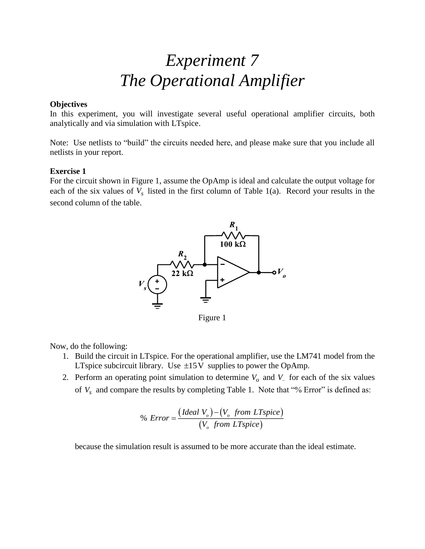# *Experiment 7 The Operational Amplifier*

#### **Objectives**

In this experiment, you will investigate several useful operational amplifier circuits, both analytically and via simulation with LTspice.

Note: Use netlists to "build" the circuits needed here, and please make sure that you include all netlists in your report.

## **Exercise 1**

For the circuit shown in Figure 1, assume the OpAmp is ideal and calculate the output voltage for each of the six values of  $V_s$  listed in the first column of Table 1(a). Record your results in the second column of the table.



Figure 1

Now, do the following:

- 1. Build the circuit in LTspice. For the operational amplifier, use the LM741 model from the LTspice subcircuit library. Use  $\pm 15V$  supplies to power the OpAmp.
- 2. Perform an operating point simulation to determine  $V_o$  and  $V_0$  for each of the six values of  $V_s$  and compare the results by completing Table 1. Note that "% Error" is defined as:

$$
\% Error = \frac{(Ideal\ V_o) - (V_o\ from\ LTspice)}{(V_o\ from\ LTspice)}
$$

because the simulation result is assumed to be more accurate than the ideal estimate.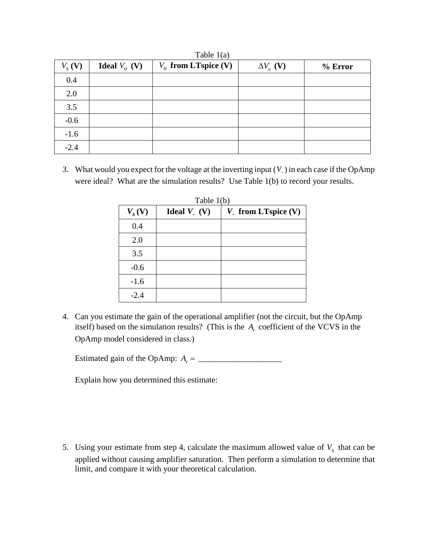| Table $1(a)$      |                        |                        |                             |         |  |  |  |
|-------------------|------------------------|------------------------|-----------------------------|---------|--|--|--|
| $V_s(\mathbf{V})$ | <b>Ideal</b> $V_o$ (V) | $V_o$ from LTspice (V) | $\Delta V$ <sub>o</sub> (V) | % Error |  |  |  |
| 0.4               |                        |                        |                             |         |  |  |  |
| 2.0               |                        |                        |                             |         |  |  |  |
| 3.5               |                        |                        |                             |         |  |  |  |
| $-0.6$            |                        |                        |                             |         |  |  |  |
| $-1.6$            |                        |                        |                             |         |  |  |  |
| $-2.4$            |                        |                        |                             |         |  |  |  |

3. What would you expect for the voltage at the inverting input ( *V*-) in each case if the OpAmp were ideal? What are the simulation results? Use Table 1(b) to record your results.

| $V_s$ (V) | Ideal $V_{-}(V)$ | $V_{.}$ from LTspice (V) |
|-----------|------------------|--------------------------|
| 0.4       |                  |                          |
| 2.0       |                  |                          |
| 3.5       |                  |                          |
| $-0.6$    |                  |                          |
| $-1.6$    |                  |                          |
| $-2.4$    |                  |                          |

4. Can you estimate the gain of the operational amplifier (not the circuit, but the OpAmp itself) based on the simulation results? (This is the  $A<sub>v</sub>$  coefficient of the VCVS in the OpAmp model considered in class.)

Estimated gain of the OpAmp: *A v* = \_\_\_\_\_\_\_\_\_\_\_\_\_\_\_\_\_\_\_\_

Explain how you determined this estimate:

5. Using your estimate from step 4, calculate the maximum allowed value of  $V_s$  that can be applied without causing amplifier saturation. Then perform a simulation to determine that limit, and compare it with your theoretical calculation.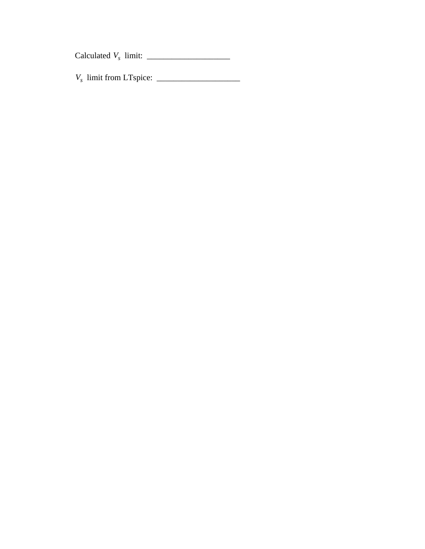Calculated  $V_s$  limit:  $\frac{1}{s}$ 

*Vs* limit from LTspice: \_\_\_\_\_\_\_\_\_\_\_\_\_\_\_\_\_\_\_\_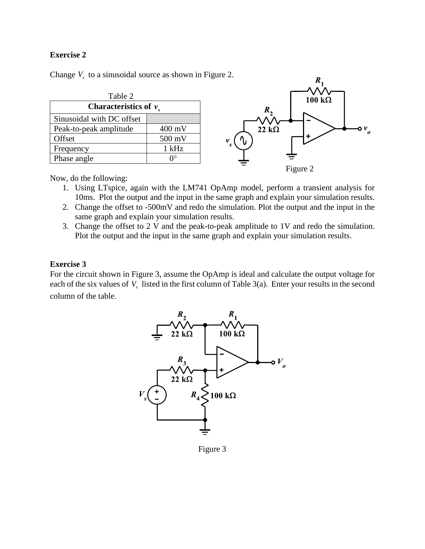## **Exercise 2**

Change  $V_s$  to a sinusoidal source as shown in Figure 2.



Now, do the following:

- 1. Using LTspice, again with the LM741 OpAmp model, perform a transient analysis for 10ms. Plot the output and the input in the same graph and explain your simulation results.
- 2. Change the offset to -500mV and redo the simulation. Plot the output and the input in the same graph and explain your simulation results.
- 3. Change the offset to 2 V and the peak-to-peak amplitude to 1V and redo the simulation. Plot the output and the input in the same graph and explain your simulation results.

## **Exercise 3**

For the circuit shown in Figure 3, assume the OpAmp is ideal and calculate the output voltage for each of the six values of  $V_s$  listed in the first column of Table 3(a). Enter your results in the second column of the table.



Figure 3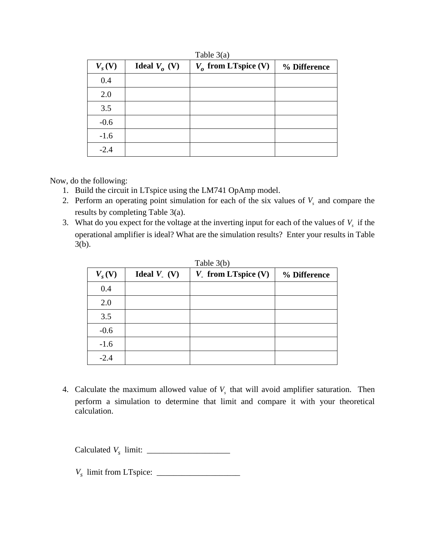| $V_s$ (V) | <b>Ideal</b> $V_a$ (V) | $V_o$ from LTspice (V) | % Difference |
|-----------|------------------------|------------------------|--------------|
| 0.4       |                        |                        |              |
| 2.0       |                        |                        |              |
| 3.5       |                        |                        |              |
| $-0.6$    |                        |                        |              |
| $-1.6$    |                        |                        |              |
| $-2.4$    |                        |                        |              |

Table 3(a)

Now, do the following:

- 1. Build the circuit in LTspice using the LM741 OpAmp model.
- 2. Perform an operating point simulation for each of the six values of  $V_s$  and compare the results by completing Table 3(a).
- 3. What do you expect for the voltage at the inverting input for each of the values of  $V<sub>s</sub>$  if the operational amplifier is ideal? What are the simulation results? Enter your results in Table 3(b).

| $V_s$ (V) | Ideal $V_{.}$ (V) | $V_{.}$ from LTspice (V) | % Difference |
|-----------|-------------------|--------------------------|--------------|
| 0.4       |                   |                          |              |
| 2.0       |                   |                          |              |
| 3.5       |                   |                          |              |
| $-0.6$    |                   |                          |              |
| $-1.6$    |                   |                          |              |
| $-2.4$    |                   |                          |              |

| Table 3(b) |  |  |
|------------|--|--|
|            |  |  |

4. Calculate the maximum allowed value of  $V<sub>s</sub>$  that will avoid amplifier saturation. Then perform a simulation to determine that limit and compare it with your theoretical calculation.

Calculated  $V_s$  limit:  $\frac{1}{s}$ 

*Vs* limit from LTspice: \_\_\_\_\_\_\_\_\_\_\_\_\_\_\_\_\_\_\_\_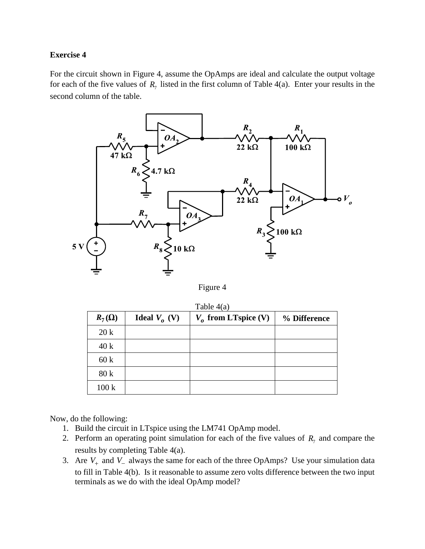## **Exercise 4**

For the circuit shown in Figure 4, assume the OpAmps are ideal and calculate the output voltage for each of the five values of  $R_7$  listed in the first column of Table 4(a). Enter your results in the second column of the table.



Figure 4

 $T_{\rm T}$  11  $4(4)$ 

| $R_7(\Omega)$ | <b>Ideal</b> $V_a$ (V) | $V_o$ from LTspice (V) | % Difference |
|---------------|------------------------|------------------------|--------------|
| 20k           |                        |                        |              |
| 40k           |                        |                        |              |
| 60k           |                        |                        |              |
| 80 k          |                        |                        |              |
| 100k          |                        |                        |              |

Now, do the following:

- 1. Build the circuit in LTspice using the LM741 OpAmp model.
- 2. Perform an operating point simulation for each of the five values of  $R_7$  and compare the results by completing Table 4(a).
- 3. Are  $V_+$  and  $V_-$  always the same for each of the three OpAmps? Use your simulation data to fill in Table 4(b). Is it reasonable to assume zero volts difference between the two input terminals as we do with the ideal OpAmp model?